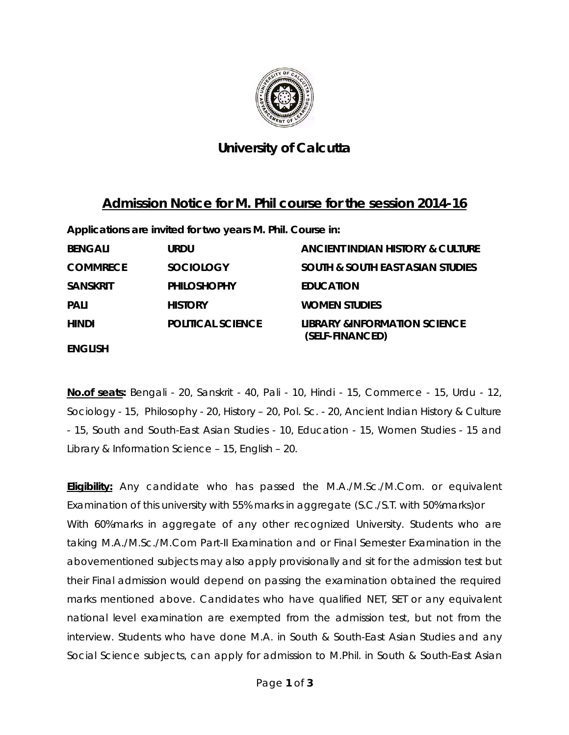

## **University of Calcutta**

## **Admission Notice for M. Phil course for the session 2014-16**

**Applications are invited for two years M. Phil. Course in:** 

| <b>BENGALI</b>  | <b>URDU</b>              | ANCIENT INDIAN HISTORY & CULTURE                           |
|-----------------|--------------------------|------------------------------------------------------------|
| <b>COMMRECE</b> | <b>SOCIOLOGY</b>         | <b>SOUTH &amp; SOUTH EAST ASIAN STUDIES</b>                |
| <b>SANSKRIT</b> | <b>PHILOSHOPHY</b>       | <b>EDUCATION</b>                                           |
| <b>PALI</b>     | <b>HISTORY</b>           | <b>WOMEN STUDIES</b>                                       |
| HINDI           | <b>POLITICAL SCIENCE</b> | <b>LIBRARY &amp;INFORMATION SCIENCE</b><br>(SELF-FINANCED) |
| <b>ENGLISH</b>  |                          |                                                            |

**No.of seats:** Bengali - 20, Sanskrit - 40, Pali - 10, Hindi - 15, Commerce - 15, Urdu - 12, Sociology - 15, Philosophy - 20, History – 20, Pol. Sc. - 20, Ancient Indian History & Culture - 15, South and South-East Asian Studies - 10, Education - 15, Women Studies - 15 and Library & Information Science – 15, English – 20.

**Eligibility:** Any candidate who has passed the M.A./M.Sc./M.Com. or equivalent Examination of this university with 55% marks in aggregate (S.C./S.T. with 50%marks)or With 60%marks in aggregate of any other recognized University. Students who are taking M.A./M.Sc./M.Com Part-II Examination and or Final Semester Examination in the abovementioned subjects may also apply provisionally and sit for the admission test but their Final admission would depend on passing the examination obtained the required marks mentioned above. Candidates who have qualified NET, SET or any equivalent national level examination are exempted from the admission test, but not from the interview. Students who have done M.A. in South & South-East Asian Studies and any Social Science subjects, can apply for admission to M.Phil. in South & South-East Asian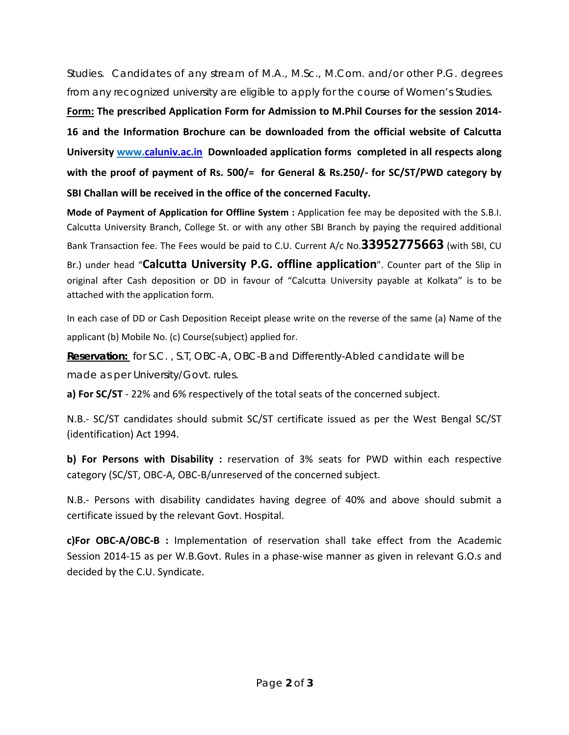Studies. Candidates of any stream of M.A., M.Sc., M.Com. and/or other P.G. degrees from any recognized university are eligible to apply for the course of Women's Studies.

**Form: The prescribed Application Form for Admission to M.Phil Courses for the session 2014‐ 16 and the Information Brochure can be downloaded from the official website of Calcutta University www.caluniv.ac.in Downloaded application forms completed in all respects along with the proof of payment of Rs. 500/= for General & Rs.250/‐ for SC/ST/PWD category by SBI Challan will be received in the office of the concerned Faculty.**

**Mode of Payment of Application for Offline System :** Application fee may be deposited with the S.B.I. Calcutta University Branch, College St. or with any other SBI Branch by paying the required additional Bank Transaction fee. The Fees would be paid to C.U. Current A/c No.**33952775663** (with SBI, CU Br.) under head "**Calcutta University P.G. offline application**". Counter part of the Slip in original after Cash deposition or DD in favour of "Calcutta University payable at Kolkata" is to be attached with the application form.

In each case of DD or Cash Deposition Receipt please write on the reverse of the same (a) Name of the applicant (b) Mobile No. (c) Course(subject) applied for.

**Reservation:** for S.C. , S.T, OBC-A, OBC-B and Differently-Abled candidate will be made as per University/Govt. rules.

**a) For SC/ST** ‐ 22% and 6% respectively of the total seats of the concerned subject.

N.B.‐ SC/ST candidates should submit SC/ST certificate issued as per the West Bengal SC/ST (identification) Act 1994.

**b) For Persons with Disability :** reservation of 3% seats for PWD within each respective category (SC/ST, OBC‐A, OBC‐B/unreserved of the concerned subject.

N.B.‐ Persons with disability candidates having degree of 40% and above should submit a certificate issued by the relevant Govt. Hospital.

**c)For OBC‐A/OBC‐B :** Implementation of reservation shall take effect from the Academic Session 2014-15 as per W.B.Govt. Rules in a phase-wise manner as given in relevant G.O.s and decided by the C.U. Syndicate.